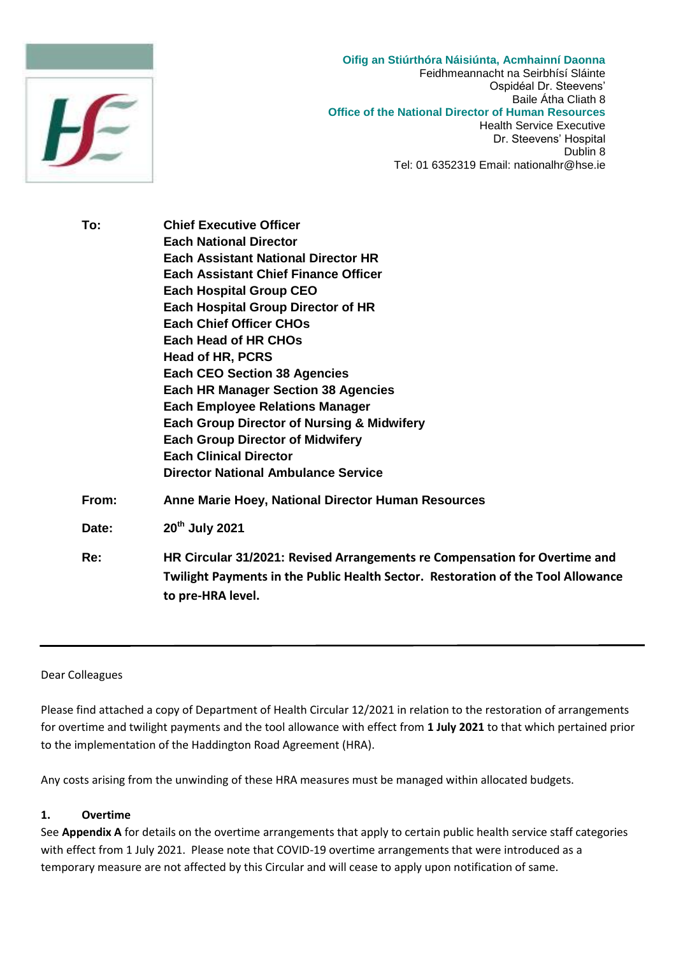

**Oifig an Stiúrthóra Náisiúnta, Acmhainní Daonna** Feidhmeannacht na Seirbhísí Sláinte Ospidéal Dr. Steevens' Baile Átha Cliath 8 **Office of the National Director of Human Resources** Health Service Executive Dr. Steevens' Hospital Dublin 8 Tel: 01 6352319 Email: nationalhr@hse.ie

**To: Chief Executive Officer Each National Director Each Assistant National Director HR Each Assistant Chief Finance Officer Each Hospital Group CEO Each Hospital Group Director of HR Each Chief Officer CHOs Each Head of HR CHOs Head of HR, PCRS Each CEO Section 38 Agencies Each HR Manager Section 38 Agencies Each Employee Relations Manager Each Group Director of Nursing & Midwifery Each Group Director of Midwifery Each Clinical Director Director National Ambulance Service From: Anne Marie Hoey, National Director Human Resources Date: 20th July 2021 Re: HR Circular 31/2021: Revised Arrangements re Compensation for Overtime and Twilight Payments in the Public Health Sector. Restoration of the Tool Allowance to pre-HRA level.**

Dear Colleagues

Please find attached a copy of Department of Health Circular 12/2021 in relation to the restoration of arrangements for overtime and twilight payments and the tool allowance with effect from **1 July 2021** to that which pertained prior to the implementation of the Haddington Road Agreement (HRA).

Any costs arising from the unwinding of these HRA measures must be managed within allocated budgets.

# **1. Overtime**

See **Appendix A** for details on the overtime arrangements that apply to certain public health service staff categories with effect from 1 July 2021. Please note that COVID-19 overtime arrangements that were introduced as a temporary measure are not affected by this Circular and will cease to apply upon notification of same.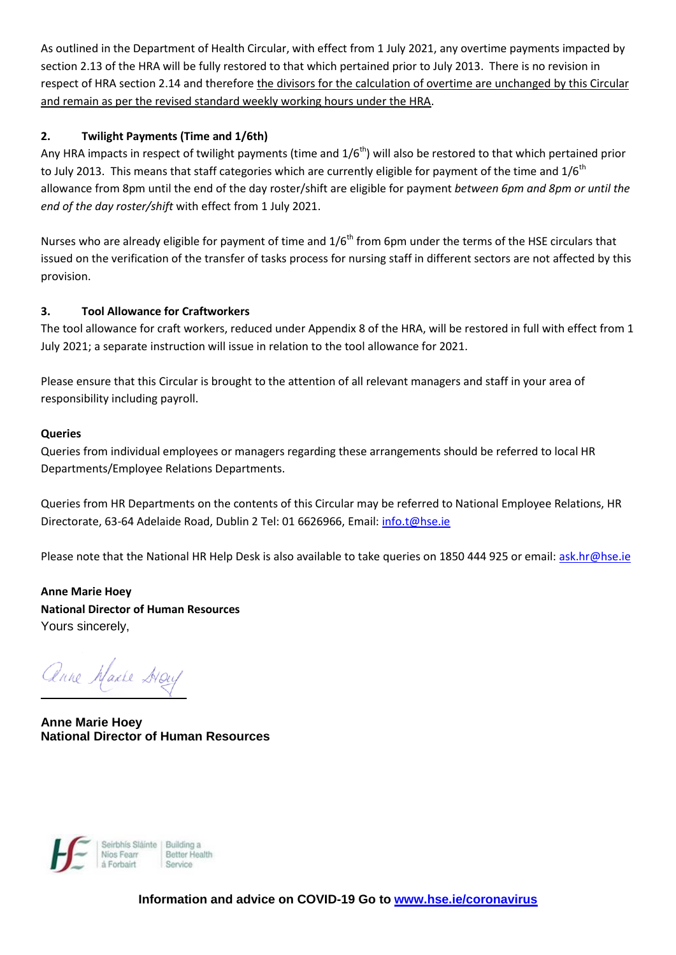As outlined in the Department of Health Circular, with effect from 1 July 2021, any overtime payments impacted by section 2.13 of the HRA will be fully restored to that which pertained prior to July 2013. There is no revision in respect of HRA section 2.14 and therefore the divisors for the calculation of overtime are unchanged by this Circular and remain as per the revised standard weekly working hours under the HRA.

#### **2. Twilight Payments (Time and 1/6th)**

Any HRA impacts in respect of twilight payments (time and  $1/6<sup>th</sup>$ ) will also be restored to that which pertained prior to July 2013. This means that staff categories which are currently eligible for payment of the time and  $1/6<sup>th</sup>$ allowance from 8pm until the end of the day roster/shift are eligible for payment *between 6pm and 8pm or until the end of the day roster/shift* with effect from 1 July 2021.

Nurses who are already eligible for payment of time and  $1/6<sup>th</sup>$  from 6pm under the terms of the HSE circulars that issued on the verification of the transfer of tasks process for nursing staff in different sectors are not affected by this provision.

#### **3. Tool Allowance for Craftworkers**

The tool allowance for craft workers, reduced under Appendix 8 of the HRA, will be restored in full with effect from 1 July 2021; a separate instruction will issue in relation to the tool allowance for 2021.

Please ensure that this Circular is brought to the attention of all relevant managers and staff in your area of responsibility including payroll.

#### **Queries**

Queries from individual employees or managers regarding these arrangements should be referred to local HR Departments/Employee Relations Departments.

Queries from HR Departments on the contents of this Circular may be referred to National Employee Relations, HR Directorate, 63-64 Adelaide Road, Dublin 2 Tel: 01 6626966, Email: [info.t@hse.ie](mailto:info.t@hse.ie)

Please note that the National HR Help Desk is also available to take queries on 1850 444 925 or email: [ask.hr@hse.ie](mailto:ask.hr@hse.ie)

**Anne Marie Hoey National Director of Human Resources** Yours sincerely,

anne Marke Hoy

**Anne Marie Hoey National Director of Human Resources**



**Information and advice on COVID-19 Go to [www.hse.ie/coronavirus](http://www.hse.ie/coronavirus)**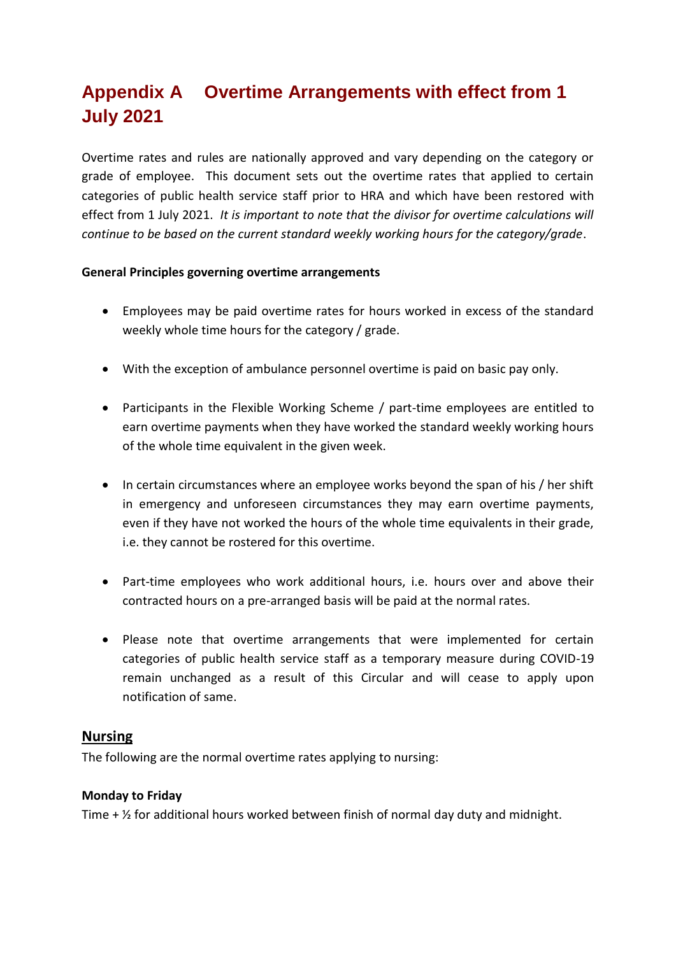# **Appendix A Overtime Arrangements with effect from 1 July 2021**

Overtime rates and rules are nationally approved and vary depending on the category or grade of employee. This document sets out the overtime rates that applied to certain categories of public health service staff prior to HRA and which have been restored with effect from 1 July 2021. *It is important to note that the divisor for overtime calculations will continue to be based on the current standard weekly working hours for the category/grade*.

# **General Principles governing overtime arrangements**

- Employees may be paid overtime rates for hours worked in excess of the standard weekly whole time hours for the category / grade.
- With the exception of ambulance personnel overtime is paid on basic pay only.
- Participants in the Flexible Working Scheme / part-time employees are entitled to earn overtime payments when they have worked the standard weekly working hours of the whole time equivalent in the given week.
- In certain circumstances where an employee works beyond the span of his / her shift in emergency and unforeseen circumstances they may earn overtime payments, even if they have not worked the hours of the whole time equivalents in their grade, i.e. they cannot be rostered for this overtime.
- Part-time employees who work additional hours, i.e. hours over and above their contracted hours on a pre-arranged basis will be paid at the normal rates.
- Please note that overtime arrangements that were implemented for certain categories of public health service staff as a temporary measure during COVID-19 remain unchanged as a result of this Circular and will cease to apply upon notification of same.

# **Nursing**

The following are the normal overtime rates applying to nursing:

#### **Monday to Friday**

Time  $+$   $\frac{1}{2}$  for additional hours worked between finish of normal day duty and midnight.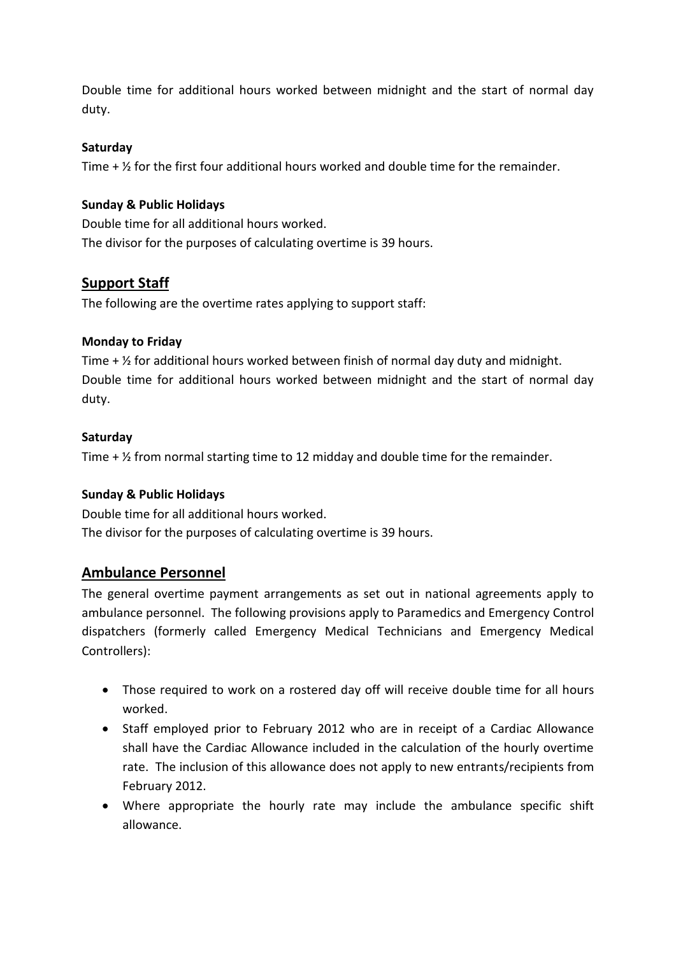Double time for additional hours worked between midnight and the start of normal day duty.

# **Saturday**

Time  $+$   $\frac{1}{2}$  for the first four additional hours worked and double time for the remainder.

# **Sunday & Public Holidays**

Double time for all additional hours worked. The divisor for the purposes of calculating overtime is 39 hours.

# **Support Staff**

The following are the overtime rates applying to support staff:

# **Monday to Friday**

Time  $+$   $\frac{1}{2}$  for additional hours worked between finish of normal day duty and midnight. Double time for additional hours worked between midnight and the start of normal day duty.

# **Saturday**

Time + ½ from normal starting time to 12 midday and double time for the remainder.

# **Sunday & Public Holidays**

Double time for all additional hours worked. The divisor for the purposes of calculating overtime is 39 hours.

# **Ambulance Personnel**

The general overtime payment arrangements as set out in national agreements apply to ambulance personnel. The following provisions apply to Paramedics and Emergency Control dispatchers (formerly called Emergency Medical Technicians and Emergency Medical Controllers):

- Those required to work on a rostered day off will receive double time for all hours worked.
- Staff employed prior to February 2012 who are in receipt of a Cardiac Allowance shall have the Cardiac Allowance included in the calculation of the hourly overtime rate. The inclusion of this allowance does not apply to new entrants/recipients from February 2012.
- Where appropriate the hourly rate may include the ambulance specific shift allowance.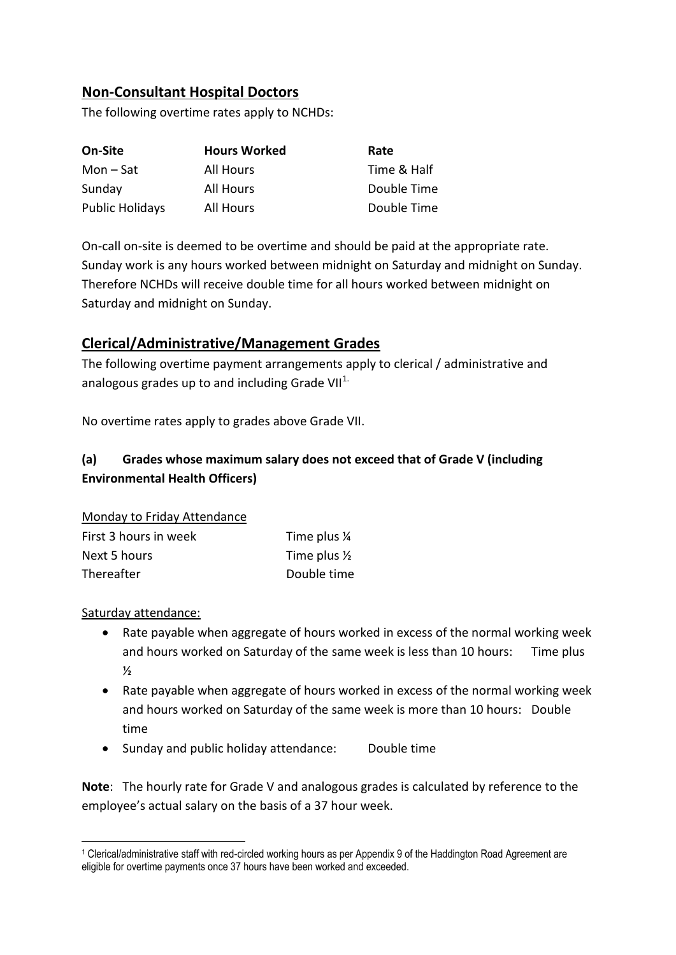# **Non-Consultant Hospital Doctors**

The following overtime rates apply to NCHDs:

| On-Site                | <b>Hours Worked</b> | Rate        |
|------------------------|---------------------|-------------|
| Mon – Sat              | All Hours           | Time & Half |
| Sunday                 | All Hours           | Double Time |
| <b>Public Holidays</b> | <b>All Hours</b>    | Double Time |

On-call on-site is deemed to be overtime and should be paid at the appropriate rate. Sunday work is any hours worked between midnight on Saturday and midnight on Sunday. Therefore NCHDs will receive double time for all hours worked between midnight on Saturday and midnight on Sunday.

# **Clerical/Administrative/Management Grades**

The following overtime payment arrangements apply to clerical / administrative and analogous grades up to and including Grade VII<sup>1.</sup>

No overtime rates apply to grades above Grade VII.

# **(a) Grades whose maximum salary does not exceed that of Grade V (including Environmental Health Officers)**

Monday to Friday Attendance

| First 3 hours in week | Time plus $\frac{1}{4}$ |
|-----------------------|-------------------------|
| Next 5 hours          | Time plus $\frac{1}{2}$ |
| Thereafter            | Double time             |

#### Saturday attendance:

1

- Rate payable when aggregate of hours worked in excess of the normal working week and hours worked on Saturday of the same week is less than 10 hours: Time plus  $\frac{1}{2}$
- Rate payable when aggregate of hours worked in excess of the normal working week and hours worked on Saturday of the same week is more than 10 hours: Double time
- Sunday and public holiday attendance: Double time

**Note**: The hourly rate for Grade V and analogous grades is calculated by reference to the employee's actual salary on the basis of a 37 hour week.

<sup>1</sup> Clerical/administrative staff with red-circled working hours as per Appendix 9 of the Haddington Road Agreement are eligible for overtime payments once 37 hours have been worked and exceeded.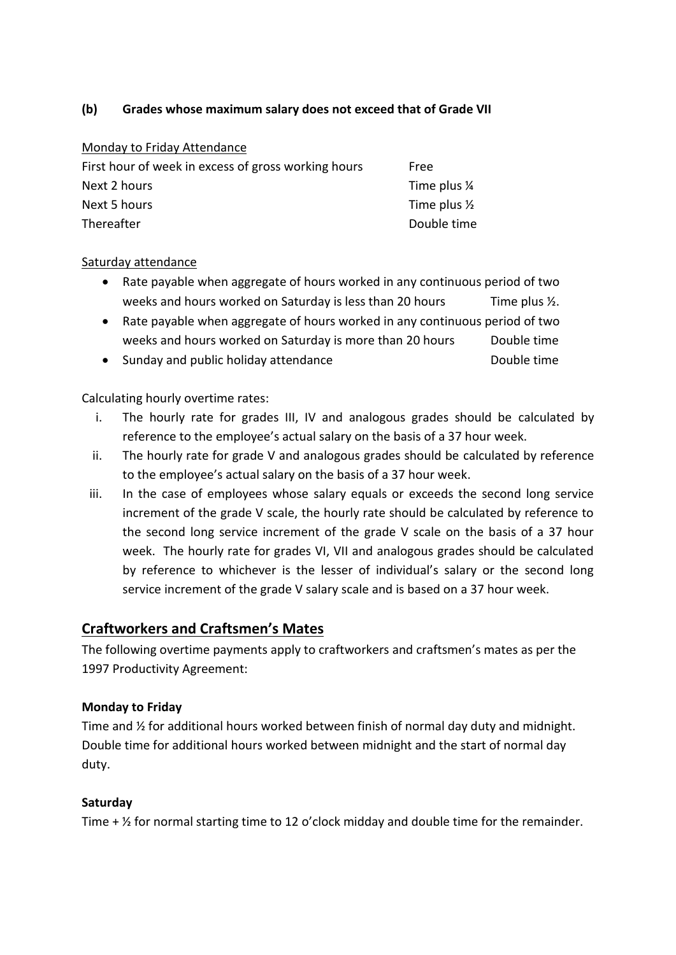# **(b) Grades whose maximum salary does not exceed that of Grade VII**

#### Monday to Friday Attendance

| First hour of week in excess of gross working hours | Free                    |
|-----------------------------------------------------|-------------------------|
| Next 2 hours                                        | Time plus $\frac{1}{4}$ |
| Next 5 hours                                        | Time plus $\frac{1}{2}$ |
| <b>Thereafter</b>                                   | Double time             |

# Saturday attendance

- Rate payable when aggregate of hours worked in any continuous period of two weeks and hours worked on Saturday is less than 20 hours Time plus  $\frac{1}{2}$ .
- Rate payable when aggregate of hours worked in any continuous period of two weeks and hours worked on Saturday is more than 20 hours Double time
- Sunday and public holiday attendance **Double Example 20** Double time

Calculating hourly overtime rates:

- i. The hourly rate for grades III, IV and analogous grades should be calculated by reference to the employee's actual salary on the basis of a 37 hour week.
- ii. The hourly rate for grade V and analogous grades should be calculated by reference to the employee's actual salary on the basis of a 37 hour week.
- iii. In the case of employees whose salary equals or exceeds the second long service increment of the grade V scale, the hourly rate should be calculated by reference to the second long service increment of the grade V scale on the basis of a 37 hour week. The hourly rate for grades VI, VII and analogous grades should be calculated by reference to whichever is the lesser of individual's salary or the second long service increment of the grade V salary scale and is based on a 37 hour week.

# **Craftworkers and Craftsmen's Mates**

The following overtime payments apply to craftworkers and craftsmen's mates as per the 1997 Productivity Agreement:

# **Monday to Friday**

Time and ½ for additional hours worked between finish of normal day duty and midnight. Double time for additional hours worked between midnight and the start of normal day duty.

# **Saturday**

Time + ½ for normal starting time to 12 o'clock midday and double time for the remainder.